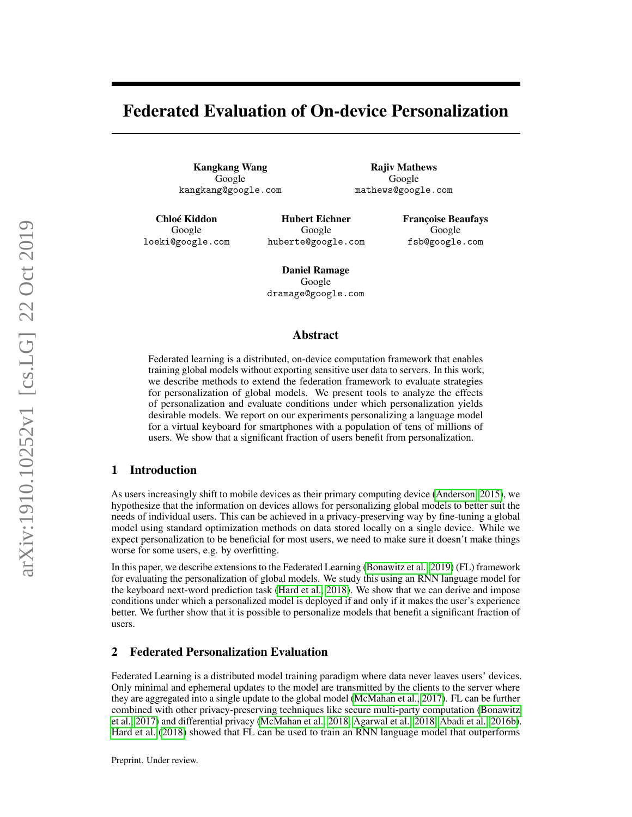# Federated Evaluation of On-device Personalization

Kangkang Wang Google kangkang@google.com

Rajiv Mathews Google mathews@google.com

Chloé Kiddon Google loeki@google.com

Hubert Eichner Google huberte@google.com Françoise Beaufays Google fsb@google.com

Daniel Ramage Google dramage@google.com

## Abstract

Federated learning is a distributed, on-device computation framework that enables training global models without exporting sensitive user data to servers. In this work, we describe methods to extend the federation framework to evaluate strategies for personalization of global models. We present tools to analyze the effects of personalization and evaluate conditions under which personalization yields desirable models. We report on our experiments personalizing a language model for a virtual keyboard for smartphones with a population of tens of millions of users. We show that a significant fraction of users benefit from personalization.

# 1 Introduction

As users increasingly shift to mobile devices as their primary computing device [\(Anderson, 2015\)](#page-4-0), we hypothesize that the information on devices allows for personalizing global models to better suit the needs of individual users. This can be achieved in a privacy-preserving way by fine-tuning a global model using standard optimization methods on data stored locally on a single device. While we expect personalization to be beneficial for most users, we need to make sure it doesn't make things worse for some users, e.g. by overfitting.

In this paper, we describe extensions to the Federated Learning [\(Bonawitz et al., 2019\)](#page-4-1) (FL) framework for evaluating the personalization of global models. We study this using an RNN language model for the keyboard next-word prediction task [\(Hard et al., 2018\)](#page-4-2). We show that we can derive and impose conditions under which a personalized model is deployed if and only if it makes the user's experience better. We further show that it is possible to personalize models that benefit a significant fraction of users.

# 2 Federated Personalization Evaluation

Federated Learning is a distributed model training paradigm where data never leaves users' devices. Only minimal and ephemeral updates to the model are transmitted by the clients to the server where they are aggregated into a single update to the global model [\(McMahan et al., 2017\)](#page-4-3). FL can be further combined with other privacy-preserving techniques like secure multi-party computation [\(Bonawitz](#page-4-4) [et al., 2017\)](#page-4-4) and differential privacy [\(McMahan et al., 2018;](#page-4-5) [Agarwal et al., 2018;](#page-4-6) [Abadi et al., 2016b\)](#page-4-7). [Hard et al.](#page-4-2) [\(2018\)](#page-4-2) showed that FL can be used to train an RNN language model that outperforms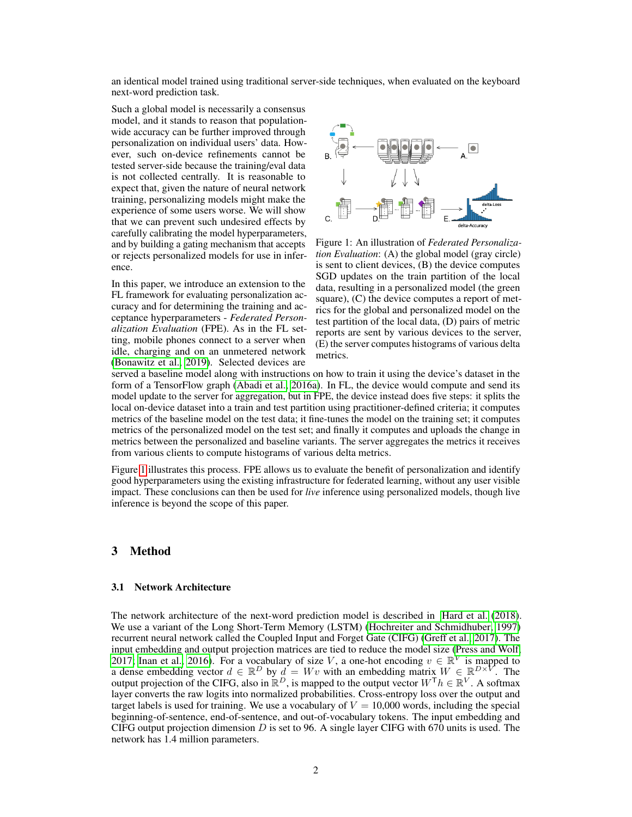an identical model trained using traditional server-side techniques, when evaluated on the keyboard next-word prediction task.

Such a global model is necessarily a consensus model, and it stands to reason that populationwide accuracy can be further improved through personalization on individual users' data. However, such on-device refinements cannot be tested server-side because the training/eval data is not collected centrally. It is reasonable to expect that, given the nature of neural network training, personalizing models might make the experience of some users worse. We will show that we can prevent such undesired effects by carefully calibrating the model hyperparameters, and by building a gating mechanism that accepts or rejects personalized models for use in inference.

In this paper, we introduce an extension to the FL framework for evaluating personalization accuracy and for determining the training and acceptance hyperparameters - *Federated Personalization Evaluation* (FPE). As in the FL setting, mobile phones connect to a server when idle, charging and on an unmetered network [\(Bonawitz et al., 2019\)](#page-4-1). Selected devices are

<span id="page-1-0"></span>

Figure 1: An illustration of *Federated Personalization Evaluation*: (A) the global model (gray circle) is sent to client devices, (B) the device computes SGD updates on the train partition of the local data, resulting in a personalized model (the green square), (C) the device computes a report of metrics for the global and personalized model on the test partition of the local data, (D) pairs of metric reports are sent by various devices to the server, (E) the server computes histograms of various delta metrics.

served a baseline model along with instructions on how to train it using the device's dataset in the form of a TensorFlow graph [\(Abadi et al., 2016a\)](#page-4-8). In FL, the device would compute and send its model update to the server for aggregation, but in FPE, the device instead does five steps: it splits the local on-device dataset into a train and test partition using practitioner-defined criteria; it computes metrics of the baseline model on the test data; it fine-tunes the model on the training set; it computes metrics of the personalized model on the test set; and finally it computes and uploads the change in metrics between the personalized and baseline variants. The server aggregates the metrics it receives from various clients to compute histograms of various delta metrics.

Figure [1](#page-1-0) illustrates this process. FPE allows us to evaluate the benefit of personalization and identify good hyperparameters using the existing infrastructure for federated learning, without any user visible impact. These conclusions can then be used for *live* inference using personalized models, though live inference is beyond the scope of this paper.

## 3 Method

#### 3.1 Network Architecture

The network architecture of the next-word prediction model is described in [Hard et al.](#page-4-2) [\(2018\)](#page-4-2). We use a variant of the Long Short-Term Memory (LSTM) [\(Hochreiter and Schmidhuber, 1997\)](#page-4-9) recurrent neural network called the Coupled Input and Forget Gate (CIFG) [\(Greff et al., 2017\)](#page-4-10). The input embedding and output projection matrices are tied to reduce the model size [\(Press and Wolf,](#page-5-0) [2017;](#page-5-0) [Inan et al., 2016\)](#page-4-11). For a vocabulary of size V, a one-hot encoding  $v \in \mathbb{R}^V$  is mapped to a dense embedding vector  $d \in \mathbb{R}^D$  by  $d = Wv$  with an embedding matrix  $W \in \mathbb{R}^{D \times V}$ . The output projection of the CIFG, also in  $\mathbb{R}^D$ , is mapped to the output vector  $W^{\top} h \in \mathbb{R}^V$ . A softmax layer converts the raw logits into normalized probabilities. Cross-entropy loss over the output and target labels is used for training. We use a vocabulary of  $V = 10,000$  words, including the special beginning-of-sentence, end-of-sentence, and out-of-vocabulary tokens. The input embedding and CIFG output projection dimension  $D$  is set to 96. A single layer CIFG with 670 units is used. The network has 1.4 million parameters.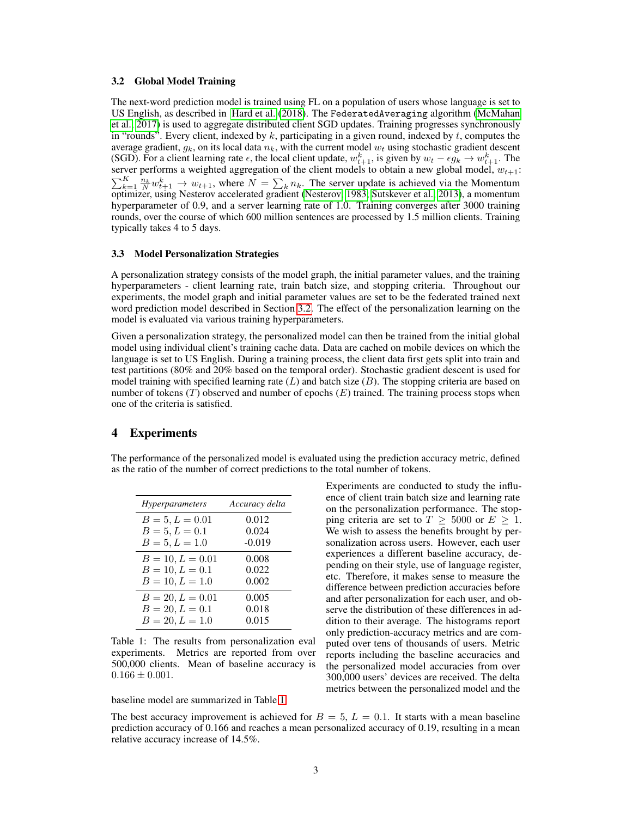#### <span id="page-2-0"></span>3.2 Global Model Training

The next-word prediction model is trained using FL on a population of users whose language is set to US English, as described in [Hard et al.](#page-4-2) [\(2018\)](#page-4-2). The FederatedAveraging algorithm [\(McMahan](#page-4-3) [et al., 2017\)](#page-4-3) is used to aggregate distributed client SGD updates. Training progresses synchronously in "rounds". Every client, indexed by k, participating in a given round, indexed by t, computes the average gradient,  $g_k$ , on its local data  $n_k$ , with the current model  $w_t$  using stochastic gradient descent (SGD). For a client learning rate  $\epsilon$ , the local client update,  $w_{t+1}^k$ , is given by  $w_t - \epsilon g_k \to w_{t+1}^k$ . The server performs a weighted aggregation of the client models to obtain a new global model,  $w_{t+1}$ :  $\sum_{k=1}^{K} \frac{n_k}{N} w_{t+1}^k \to w_{t+1}$ , where  $N = \sum_{k} n_k$ . The server update is achieved via the Momentum optimizer, using Nesterov accelerated gradient [\(Nesterov, 1983;](#page-4-12) [Sutskever et al., 2013\)](#page-5-1), a momentum hyperparameter of 0.9, and a server learning rate of 1.0. Training converges after 3000 training rounds, over the course of which 600 million sentences are processed by 1.5 million clients. Training typically takes 4 to 5 days.

#### 3.3 Model Personalization Strategies

A personalization strategy consists of the model graph, the initial parameter values, and the training hyperparameters - client learning rate, train batch size, and stopping criteria. Throughout our experiments, the model graph and initial parameter values are set to be the federated trained next word prediction model described in Section [3.2.](#page-2-0) The effect of the personalization learning on the model is evaluated via various training hyperparameters.

Given a personalization strategy, the personalized model can then be trained from the initial global model using individual client's training cache data. Data are cached on mobile devices on which the language is set to US English. During a training process, the client data first gets split into train and test partitions (80% and 20% based on the temporal order). Stochastic gradient descent is used for model training with specified learning rate  $(L)$  and batch size  $(B)$ . The stopping criteria are based on number of tokens  $(T)$  observed and number of epochs  $(E)$  trained. The training process stops when one of the criteria is satisfied.

# 4 Experiments

The performance of the personalized model is evaluated using the prediction accuracy metric, defined as the ratio of the number of correct predictions to the total number of tokens.

<span id="page-2-1"></span>

| <i>Hyperparameters</i> | Accuracy delta |
|------------------------|----------------|
| $B = 5, L = 0.01$      | 0.012          |
| $B = 5, L = 0.1$       | 0.024          |
| $B = 5, L = 1.0$       | $-0.019$       |
| $B = 10, L = 0.01$     | 0.008          |
| $B = 10, L = 0.1$      | 0.022          |
| $B = 10, L = 1.0$      | 0.002          |
| $B = 20, L = 0.01$     | 0.005          |
| $B = 20, L = 0.1$      | 0.018          |
| $B = 20, L = 1.0$      | 0.015          |

Table 1: The results from personalization eval experiments. Metrics are reported from over 500,000 clients. Mean of baseline accuracy is  $0.166 \pm 0.001$ .

baseline model are summarized in Table [1.](#page-2-1)

Experiments are conducted to study the influence of client train batch size and learning rate on the personalization performance. The stopping criteria are set to  $T \geq 5000$  or  $E \geq 1$ . We wish to assess the benefits brought by personalization across users. However, each user experiences a different baseline accuracy, depending on their style, use of language register, etc. Therefore, it makes sense to measure the difference between prediction accuracies before and after personalization for each user, and observe the distribution of these differences in addition to their average. The histograms report only prediction-accuracy metrics and are computed over tens of thousands of users. Metric reports including the baseline accuracies and the personalized model accuracies from over 300,000 users' devices are received. The delta metrics between the personalized model and the

The best accuracy improvement is achieved for  $B = 5$ ,  $L = 0.1$ . It starts with a mean baseline prediction accuracy of 0.166 and reaches a mean personalized accuracy of 0.19, resulting in a mean relative accuracy increase of 14.5%.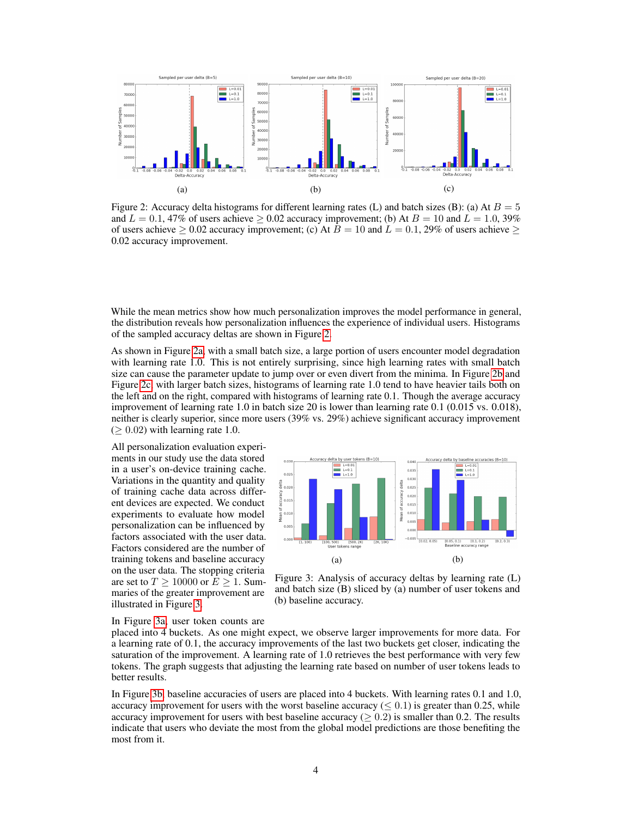<span id="page-3-0"></span>

Figure 2: Accuracy delta histograms for different learning rates (L) and batch sizes (B): (a) At  $B = 5$ and  $L = 0.1$ , 47% of users achieve  $\geq 0.02$  accuracy improvement; (b) At  $B = 10$  and  $L = 1.0$ , 39% of users achieve  $\geq 0.02$  accuracy improvement; (c) At  $B = 10$  and  $L = 0.1$ , 29% of users achieve  $\geq$ 0.02 accuracy improvement.

While the mean metrics show how much personalization improves the model performance in general, the distribution reveals how personalization influences the experience of individual users. Histograms of the sampled accuracy deltas are shown in Figure [2.](#page-3-0)

As shown in Figure [2a,](#page-3-0) with a small batch size, a large portion of users encounter model degradation with learning rate 1.0. This is not entirely surprising, since high learning rates with small batch size can cause the parameter update to jump over or even divert from the minima. In Figure [2b](#page-3-0) and Figure [2c,](#page-3-0) with larger batch sizes, histograms of learning rate 1.0 tend to have heavier tails both on the left and on the right, compared with histograms of learning rate 0.1. Though the average accuracy improvement of learning rate 1.0 in batch size 20 is lower than learning rate 0.1 (0.015 vs. 0.018), neither is clearly superior, since more users (39% vs. 29%) achieve significant accuracy improvement  $(> 0.02)$  with learning rate 1.0.

All personalization evaluation experiments in our study use the data stored in a user's on-device training cache. Variations in the quantity and quality of training cache data across different devices are expected. We conduct experiments to evaluate how model personalization can be influenced by factors associated with the user data. Factors considered are the number of training tokens and baseline accuracy on the user data. The stopping criteria are set to  $T \ge 10000$  or  $E \ge 1$ . Summaries of the greater improvement are illustrated in Figure [3.](#page-3-1)

<span id="page-3-1"></span>

Figure 3: Analysis of accuracy deltas by learning rate (L) and batch size (B) sliced by (a) number of user tokens and (b) baseline accuracy.

In Figure [3a,](#page-3-1) user token counts are

placed into 4 buckets. As one might expect, we observe larger improvements for more data. For a learning rate of 0.1, the accuracy improvements of the last two buckets get closer, indicating the saturation of the improvement. A learning rate of 1.0 retrieves the best performance with very few tokens. The graph suggests that adjusting the learning rate based on number of user tokens leads to better results.

In Figure [3b,](#page-3-1) baseline accuracies of users are placed into 4 buckets. With learning rates 0.1 and 1.0, accuracy improvement for users with the worst baseline accuracy ( $\leq 0.1$ ) is greater than 0.25, while accuracy improvement for users with best baseline accuracy ( $> 0.2$ ) is smaller than 0.2. The results indicate that users who deviate the most from the global model predictions are those benefiting the most from it.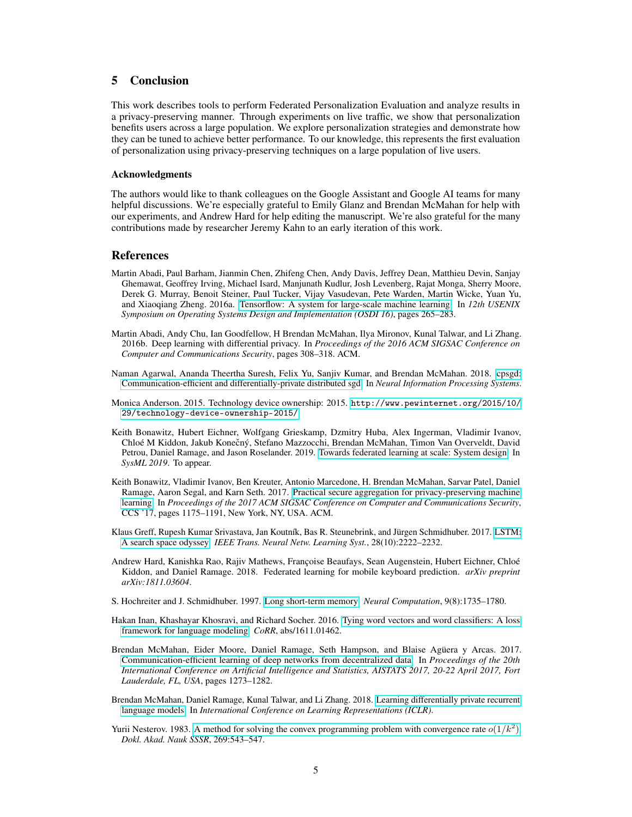# 5 Conclusion

This work describes tools to perform Federated Personalization Evaluation and analyze results in a privacy-preserving manner. Through experiments on live traffic, we show that personalization benefits users across a large population. We explore personalization strategies and demonstrate how they can be tuned to achieve better performance. To our knowledge, this represents the first evaluation of personalization using privacy-preserving techniques on a large population of live users.

#### Acknowledgments

The authors would like to thank colleagues on the Google Assistant and Google AI teams for many helpful discussions. We're especially grateful to Emily Glanz and Brendan McMahan for help with our experiments, and Andrew Hard for help editing the manuscript. We're also grateful for the many contributions made by researcher Jeremy Kahn to an early iteration of this work.

### References

- <span id="page-4-8"></span>Martin Abadi, Paul Barham, Jianmin Chen, Zhifeng Chen, Andy Davis, Jeffrey Dean, Matthieu Devin, Sanjay Ghemawat, Geoffrey Irving, Michael Isard, Manjunath Kudlur, Josh Levenberg, Rajat Monga, Sherry Moore, Derek G. Murray, Benoit Steiner, Paul Tucker, Vijay Vasudevan, Pete Warden, Martin Wicke, Yuan Yu, and Xiaoqiang Zheng. 2016a. [Tensorflow: A system for large-scale machine learning.](https://www.usenix.org/system/files/conference/osdi16/osdi16-abadi.pdf) In *12th USENIX Symposium on Operating Systems Design and Implementation (OSDI 16)*, pages 265–283.
- <span id="page-4-7"></span>Martin Abadi, Andy Chu, Ian Goodfellow, H Brendan McMahan, Ilya Mironov, Kunal Talwar, and Li Zhang. 2016b. Deep learning with differential privacy. In *Proceedings of the 2016 ACM SIGSAC Conference on Computer and Communications Security*, pages 308–318. ACM.
- <span id="page-4-6"></span>Naman Agarwal, Ananda Theertha Suresh, Felix Yu, Sanjiv Kumar, and Brendan McMahan. 2018. [cpsgd:](http://papers.nips.cc/paper/7984-cpsgd-communication-efficient-and-differentially-private-distributed-sgd.pdf) [Communication-efficient and differentially-private distributed sgd.](http://papers.nips.cc/paper/7984-cpsgd-communication-efficient-and-differentially-private-distributed-sgd.pdf) In *Neural Information Processing Systems*.
- <span id="page-4-0"></span>Monica Anderson. 2015. Technology device ownership: 2015. [http://www.pewinternet.org/2015/10/](http://www.pewinternet.org/2015/10/29/technology-device-ownership-2015/) [29/technology-device-ownership-2015/](http://www.pewinternet.org/2015/10/29/technology-device-ownership-2015/).
- <span id="page-4-1"></span>Keith Bonawitz, Hubert Eichner, Wolfgang Grieskamp, Dzmitry Huba, Alex Ingerman, Vladimir Ivanov, Chloé M Kiddon, Jakub Konečný, Stefano Mazzocchi, Brendan McMahan, Timon Van Overveldt, David Petrou, Daniel Ramage, and Jason Roselander. 2019. [Towards federated learning at scale: System design.](https://arxiv.org/abs/1902.01046) In *SysML 2019*. To appear.
- <span id="page-4-4"></span>Keith Bonawitz, Vladimir Ivanov, Ben Kreuter, Antonio Marcedone, H. Brendan McMahan, Sarvar Patel, Daniel Ramage, Aaron Segal, and Karn Seth. 2017. [Practical secure aggregation for privacy-preserving machine](https://doi.org/10.1145/3133956.3133982) [learning.](https://doi.org/10.1145/3133956.3133982) In *Proceedings of the 2017 ACM SIGSAC Conference on Computer and Communications Security*, CCS '17, pages 1175–1191, New York, NY, USA. ACM.
- <span id="page-4-10"></span>Klaus Greff, Rupesh Kumar Srivastava, Jan Koutník, Bas R. Steunebrink, and Jürgen Schmidhuber. 2017. [LSTM:](https://doi.org/10.1109/TNNLS.2016.2582924) [A search space odyssey.](https://doi.org/10.1109/TNNLS.2016.2582924) *IEEE Trans. Neural Netw. Learning Syst.*, 28(10):2222–2232.
- <span id="page-4-2"></span>Andrew Hard, Kanishka Rao, Rajiv Mathews, Françoise Beaufays, Sean Augenstein, Hubert Eichner, Chloé Kiddon, and Daniel Ramage. 2018. Federated learning for mobile keyboard prediction. *arXiv preprint arXiv:1811.03604*.
- <span id="page-4-9"></span>S. Hochreiter and J. Schmidhuber. 1997. [Long short-term memory.](https://doi.org/10.1162/neco.1997.9.8.1735) *Neural Computation*, 9(8):1735–1780.
- <span id="page-4-11"></span>Hakan Inan, Khashayar Khosravi, and Richard Socher. 2016. [Tying word vectors and word classifiers: A loss](http://arxiv.org/abs/1611.01462) [framework for language modeling.](http://arxiv.org/abs/1611.01462) *CoRR*, abs/1611.01462.
- <span id="page-4-3"></span>Brendan McMahan, Eider Moore, Daniel Ramage, Seth Hampson, and Blaise Agüera y Arcas. 2017. [Communication-efficient learning of deep networks from decentralized data.](http://proceedings.mlr.press/v54/mcmahan17a.html) In *Proceedings of the 20th International Conference on Artificial Intelligence and Statistics, AISTATS 2017, 20-22 April 2017, Fort Lauderdale, FL, USA*, pages 1273–1282.
- <span id="page-4-5"></span>Brendan McMahan, Daniel Ramage, Kunal Talwar, and Li Zhang. 2018. [Learning differentially private recurrent](https://openreview.net/pdf?id=BJ0hF1Z0b) [language models.](https://openreview.net/pdf?id=BJ0hF1Z0b) In *International Conference on Learning Representations (ICLR)*.
- <span id="page-4-12"></span>Yurii Nesterov. 1983. [A method for solving the convex programming problem with convergence rate](https://ci.nii.ac.jp/naid/10029946121/en/)  $o(1/k^2)$ . *Dokl. Akad. Nauk SSSR*, 269:543–547.